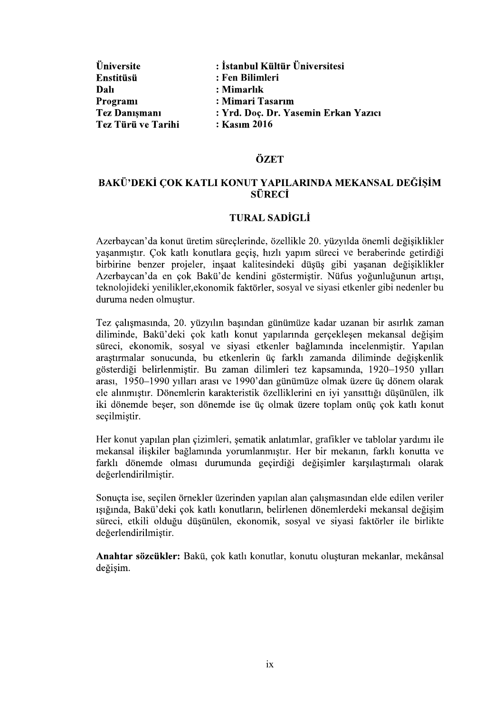| <b>Üniversite</b>    | : İstanbul Kültür Üniversitesi       |
|----------------------|--------------------------------------|
| Enstitüsü            | : Fen Bilimleri                      |
| Dalı                 | : Mimarlık                           |
| Programi             | : Mimari Tasarım                     |
| <b>Tez Danışmanı</b> | : Yrd. Doç. Dr. Yasemin Erkan Yazıcı |
| Tez Türü ve Tarihi   | : Kasım 2016                         |

### ÖZET

# BAKÜ'DEKİ COK KATLI KONUT YAPILARINDA MEKANSAL DEĞİSİM **SÜRECİ**

### **TURAL SADİGLİ**

Azerbaycan'da konut üretim süreçlerinde, özellikle 20. yüzyılda önemli değişiklikler yaşanmıştır. Çok katlı konutlara geçiş, hızlı yapım süreci ve beraberinde getirdiği birbirine benzer projeler, insaat kalitesindeki düsüs gibi yasanan değisiklikler Azerbaycan'da en çok Bakü'de kendini göstermiştir. Nüfus yoğunluğunun artışı, teknolojideki yenilikler, ekonomik faktörler, sosyal ve siyasi etkenler gibi nedenler bu duruma neden olmuştur.

Tez çalışmasında, 20. yüzyılın başından günümüze kadar uzanan bir asırlık zaman diliminde, Bakü'deki çok katlı konut yapılarında gerçekleşen mekansal değişim süreci, ekonomik, sosyal ve siyasi etkenler bağlamında incelenmiştir. Yapılan arastırmalar sonucunda, bu etkenlerin üç farklı zamanda diliminde değişkenlik gösterdiği belirlenmiştir. Bu zaman dilimleri tez kapsamında, 1920-1950 yılları arası, 1950-1990 yılları arası ve 1990'dan günümüze olmak üzere üç dönem olarak ele alınmıştır. Dönemlerin karakteristik özelliklerini en iyi yansıttığı düşünülen, ilk iki dönemde beser, son dönemde ise üç olmak üzere toplam onüç çok katlı konut secilmistir.

Her konut yapılan plan çizimleri, şematik anlatımlar, grafikler ve tablolar yardımı ile mekansal ilişkiler bağlamında yorumlanmıştır. Her bir mekanın, farklı konutta ve farklı dönemde olması durumunda geçirdiği değişimler karşılaştırmalı olarak değerlendirilmiştir.

Sonucta ise, secilen örnekler üzerinden yapılan alan calısmasından elde edilen veriler ışığında, Bakü'deki çok katlı konutların, belirlenen dönemlerdeki mekansal değişim süreci, etkili olduğu düşünülen, ekonomik, sosyal ve siyasi faktörler ile birlikte değerlendirilmiştir.

Anahtar sözcükler: Bakü, çok katlı konutlar, konutu oluşturan mekanlar, mekânsal değişim.